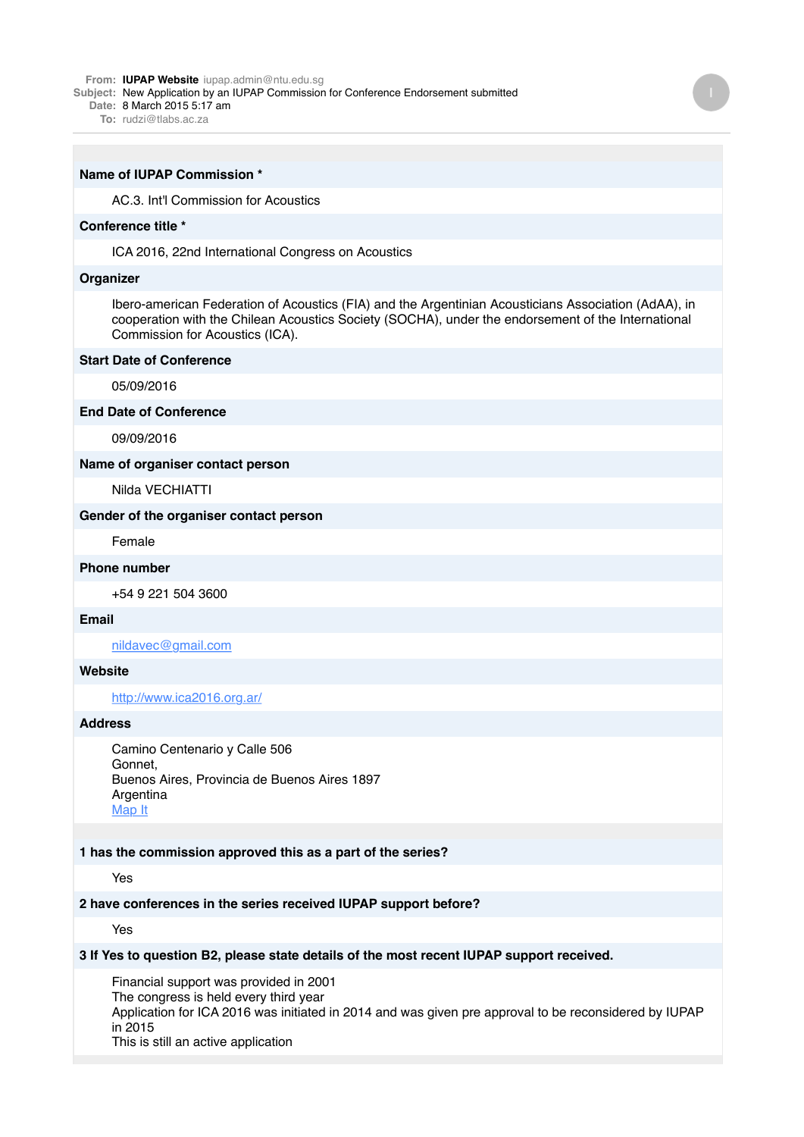#### **From: IUPAP [Website](mailto:Websiteiupap.admin@ntu.edu.sg)** [iupap.admin@ntu.edu.sg](mailto:Websiteiupap.admin@ntu.edu.sg)

**Subject:** New Application by an IUPAP Commission for Conference Endorsement submitted

- **Date:** 8 March 2015 5:17 am
	- **To:** [rudzi@tlabs.ac.za](mailto:rudzi@tlabs.ac.za)

#### **Name of IUPAP Commission \***

AC.3. Int'l Commission for Acoustics

#### **Conference title \***

ICA 2016, 22nd International Congress on Acoustics

### **Organizer**

Ibero-american Federation of Acoustics (FIA) and the Argentinian Acousticians Association (AdAA), in cooperation with the Chilean Acoustics Society (SOCHA), under the endorsement of the International Commission for Acoustics (ICA).

## **Start Date of Conference**

05/09/2016

#### **End Date of Conference**

09/09/2016

# **Name of organiser contact person**

Nilda VECHIATTI

### **Gender of the organiser contact person**

Female

## **Phone number**

+54 9 221 504 3600

### **Email**

[nildavec@gmail.com](mailto:nildavec@gmail.com)

# **Website**

<http://www.ica2016.org.ar/>

### **Address**

Camino Centenario y Calle 506 Gonnet, Buenos Aires, Provincia de Buenos Aires 1897 Argentina [Map It](http://maps.google.com/maps?q=Camino+Centenario+y+Calle+506+Gonnet%2C+Buenos+Aires%2C+Provincia+de+Buenos+Aires+1897+Argentina)

# **1 has the commission approved this as a part of the series?**

Yes

# **2 have conferences in the series received IUPAP support before?**

Yes

## **3 If Yes to question B2, please state details of the most recent IUPAP support received.**

Financial support was provided in 2001 The congress is held every third year Application for ICA 2016 was initiated in 2014 and was given pre approval to be reconsidered by IUPAP in 2015 This is still an active application